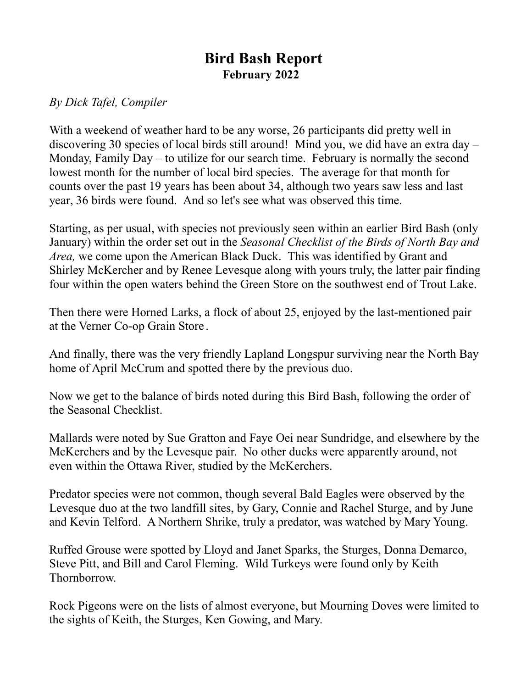## **Bird Bash Report February 2022**

## *By Dick Tafel, Compiler*

With a weekend of weather hard to be any worse, 26 participants did pretty well in discovering 30 species of local birds still around! Mind you, we did have an extra day – Monday, Family Day – to utilize for our search time. February is normally the second lowest month for the number of local bird species. The average for that month for counts over the past 19 years has been about 34, although two years saw less and last year, 36 birds were found. And so let's see what was observed this time.

Starting, as per usual, with species not previously seen within an earlier Bird Bash (only January) within the order set out in the *Seasonal Checklist of the Birds of North Bay and Area,* we come upon the American Black Duck. This was identified by Grant and Shirley McKercher and by Renee Levesque along with yours truly, the latter pair finding four within the open waters behind the Green Store on the southwest end of Trout Lake.

Then there were Horned Larks, a flock of about 25, enjoyed by the last-mentioned pair at the Verner Co-op Grain Store .

And finally, there was the very friendly Lapland Longspur surviving near the North Bay home of April McCrum and spotted there by the previous duo.

Now we get to the balance of birds noted during this Bird Bash, following the order of the Seasonal Checklist.

Mallards were noted by Sue Gratton and Faye Oei near Sundridge, and elsewhere by the McKerchers and by the Levesque pair. No other ducks were apparently around, not even within the Ottawa River, studied by the McKerchers.

Predator species were not common, though several Bald Eagles were observed by the Levesque duo at the two landfill sites, by Gary, Connie and Rachel Sturge, and by June and Kevin Telford. A Northern Shrike, truly a predator, was watched by Mary Young.

Ruffed Grouse were spotted by Lloyd and Janet Sparks, the Sturges, Donna Demarco, Steve Pitt, and Bill and Carol Fleming. Wild Turkeys were found only by Keith Thornborrow.

Rock Pigeons were on the lists of almost everyone, but Mourning Doves were limited to the sights of Keith, the Sturges, Ken Gowing, and Mary.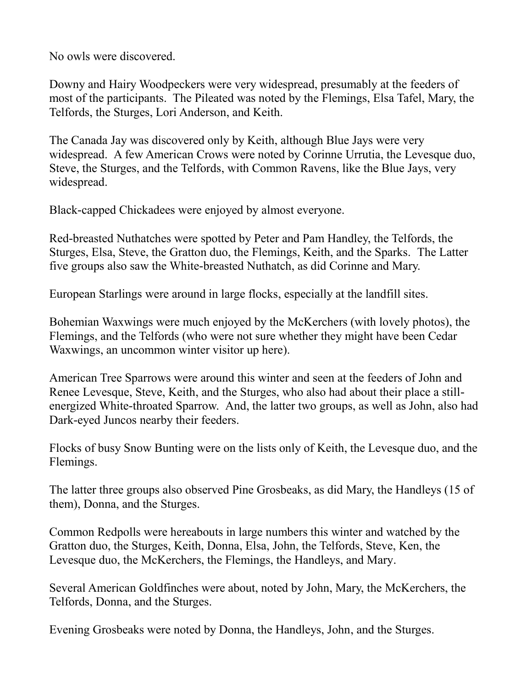No owls were discovered.

Downy and Hairy Woodpeckers were very widespread, presumably at the feeders of most of the participants. The Pileated was noted by the Flemings, Elsa Tafel, Mary, the Telfords, the Sturges, Lori Anderson, and Keith.

The Canada Jay was discovered only by Keith, although Blue Jays were very widespread. A few American Crows were noted by Corinne Urrutia, the Levesque duo, Steve, the Sturges, and the Telfords, with Common Ravens, like the Blue Jays, very widespread.

Black-capped Chickadees were enjoyed by almost everyone.

Red-breasted Nuthatches were spotted by Peter and Pam Handley, the Telfords, the Sturges, Elsa, Steve, the Gratton duo, the Flemings, Keith, and the Sparks. The Latter five groups also saw the White-breasted Nuthatch, as did Corinne and Mary.

European Starlings were around in large flocks, especially at the landfill sites.

Bohemian Waxwings were much enjoyed by the McKerchers (with lovely photos), the Flemings, and the Telfords (who were not sure whether they might have been Cedar Waxwings, an uncommon winter visitor up here).

American Tree Sparrows were around this winter and seen at the feeders of John and Renee Levesque, Steve, Keith, and the Sturges, who also had about their place a stillenergized White-throated Sparrow. And, the latter two groups, as well as John, also had Dark-eyed Juncos nearby their feeders.

Flocks of busy Snow Bunting were on the lists only of Keith, the Levesque duo, and the Flemings.

The latter three groups also observed Pine Grosbeaks, as did Mary, the Handleys (15 of them), Donna, and the Sturges.

Common Redpolls were hereabouts in large numbers this winter and watched by the Gratton duo, the Sturges, Keith, Donna, Elsa, John, the Telfords, Steve, Ken, the Levesque duo, the McKerchers, the Flemings, the Handleys, and Mary.

Several American Goldfinches were about, noted by John, Mary, the McKerchers, the Telfords, Donna, and the Sturges.

Evening Grosbeaks were noted by Donna, the Handleys, John, and the Sturges.